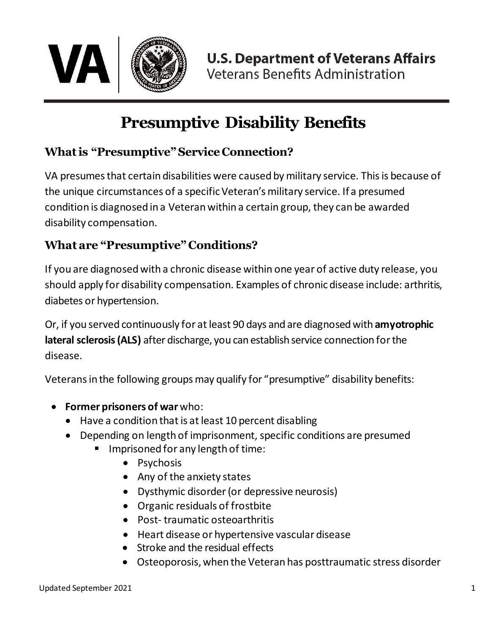

## **Presumptive Disability Benefits**

## **Whatis "Presumptive"Service Connection?**

VA presumes that certain disabilities were caused by military service. This is because of the unique circumstances of a specific Veteran's military service. If a presumed condition is diagnosed in a Veteran within a certain group, they can be awarded disability compensation.

## **What are "Presumptive" Conditions?**

If you are diagnosed with a chronic disease within one year of active duty release, you should apply for disability compensation. Examples of chronic disease include: arthritis, diabetes or hypertension.

Or, if you served continuously for atleast 90 days and are diagnosedwith **amyotrophic**  lateral sclerosis (ALS) after discharge, you can establish service connection for the disease.

Veterans in the following groups may qualify for "presumptive" disability benefits:

- **Former prisoners of war** who:
	- Have a condition that is at least 10 percent disabling
	- Depending on length of imprisonment, specific conditions are presumed
		- Imprisoned for any length of time:
			- Psychosis
			- Any of the anxiety states
			- Dysthymic disorder (or depressive neurosis)
			- Organic residuals of frostbite
			- Post- traumatic osteoarthritis
			- Heart disease or hypertensive vascular disease
			- Stroke and the residual effects
			- Osteoporosis, when the Veteran has posttraumatic stress disorder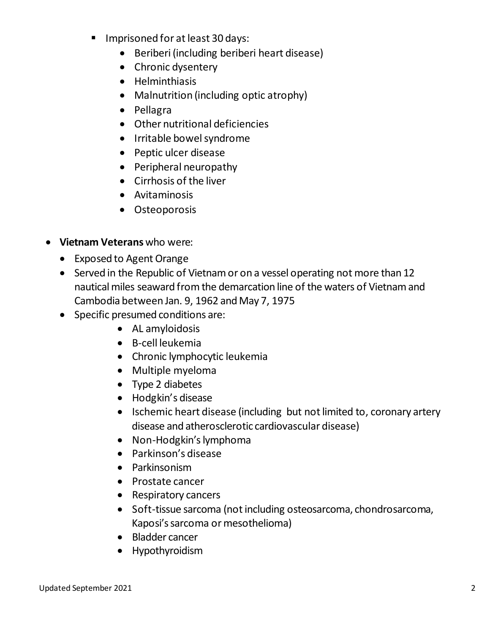- **IMPRE** 1mprisoned for at least 30 days:
	- Beriberi (including beriberi heart disease)
	- Chronic dysentery
	- Helminthiasis
	- Malnutrition (including optic atrophy)
	- Pellagra
	- Other nutritional deficiencies
	- Irritable bowel syndrome
	- Peptic ulcer disease
	- Peripheral neuropathy
	- Cirrhosis of the liver
	- Avitaminosis
	- Osteoporosis
- **Vietnam Veterans** who were:
	- Exposed to Agent Orange
	- Served in the Republic of Vietnam or on a vessel operating not more than 12 nautical miles seaward from the demarcation line of the waters of Vietnam and Cambodia between Jan. 9, 1962 and May 7, 1975
	- Specific presumed conditions are:
		- AL amyloidosis
		- B-cell leukemia
		- Chronic lymphocytic leukemia
		- Multiple myeloma
		- Type 2 diabetes
		- Hodgkin's disease
		- Ischemic heart disease (including but not limited to, coronary artery disease and atherosclerotic cardiovascular disease)
		- Non-Hodgkin's lymphoma
		- Parkinson's disease
		- Parkinsonism
		- Prostate cancer
		- Respiratory cancers
		- Soft-tissue sarcoma (not including osteosarcoma, chondrosarcoma, Kaposi's sarcoma or mesothelioma)
		- Bladder cancer
		- Hypothyroidism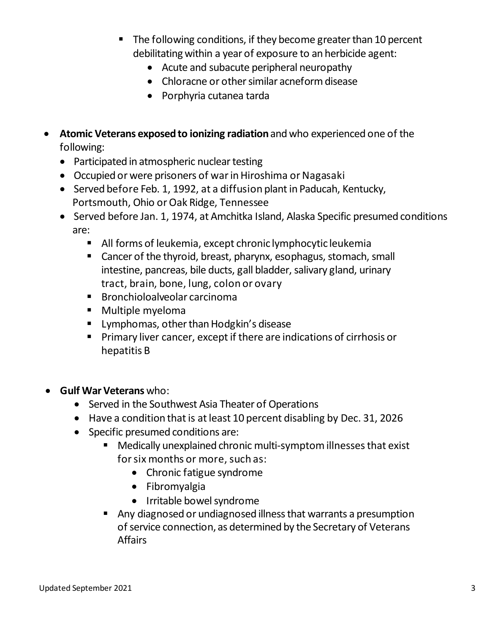- The following conditions, if they become greater than 10 percent debilitating within a year of exposure to an herbicide agent:
	- Acute and subacute peripheral neuropathy
	- Chloracne or other similar acneform disease
	- Porphyria cutanea tarda
- **Atomic Veterans exposed to ionizing radiation**and who experienced one of the following:
	- Participated in atmospheric nuclear testing
	- Occupied or were prisoners of war in Hiroshima or Nagasaki
	- Served before Feb. 1, 1992, at a diffusion plant in Paducah, Kentucky, Portsmouth, Ohio or Oak Ridge, Tennessee
	- Served before Jan. 1, 1974, at Amchitka Island, Alaska Specific presumed conditions are:
		- All forms of leukemia, except chronic lymphocytic leukemia
		- Cancer of the thyroid, breast, pharynx, esophagus, stomach, small intestine, pancreas, bile ducts, gall bladder, salivary gland, urinary tract, brain, bone, lung, colon or ovary
		- Bronchioloalveolar carcinoma
		- **Multiple myeloma**
		- **E** Lymphomas, other than Hodgkin's disease
		- **Primary liver cancer, except if there are indications of cirrhosis or** hepatitis B
- **Gulf War Veterans** who:
	- Served in the Southwest Asia Theater of Operations
	- Have a condition that is at least 10 percent disabling by Dec. 31, 2026
	- Specific presumed conditions are:
		- Medically unexplained chronic multi-symptom illnesses that exist for six months or more, such as:
			- Chronic fatigue syndrome
			- Fibromyalgia
			- Irritable bowel syndrome
		- Any diagnosed or undiagnosed illness that warrants a presumption of service connection, as determined by the Secretary of Veterans Affairs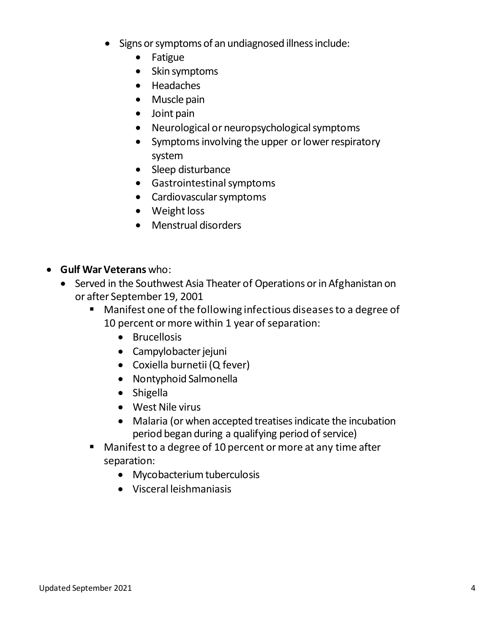- Signs or symptoms of an undiagnosed illness include:
	- Fatigue
	- Skin symptoms
	- Headaches
	- Muscle pain
	- Joint pain
	- Neurological or neuropsychological symptoms
	- Symptoms involving the upper or lower respiratory system
	- Sleep disturbance
	- Gastrointestinal symptoms
	- Cardiovascular symptoms
	- Weight loss
	- Menstrual disorders
- **Gulf WarVeterans** who:
	- Served in the Southwest Asia Theater of Operations or in Afghanistan on or after September 19, 2001
		- Manifest one of the following infectious diseasesto a degree of 10 percent or more within 1 year of separation:
			- Brucellosis
			- Campylobacter jejuni
			- Coxiella burnetii (Q fever)
			- Nontyphoid Salmonella
			- Shigella
			- West Nile virus
			- Malaria (or when accepted treatises indicate the incubation period began during a qualifying period of service)
		- Manifest to a degree of 10 percent or more at any time after separation:
			- Mycobacterium tuberculosis
			- Visceral leishmaniasis